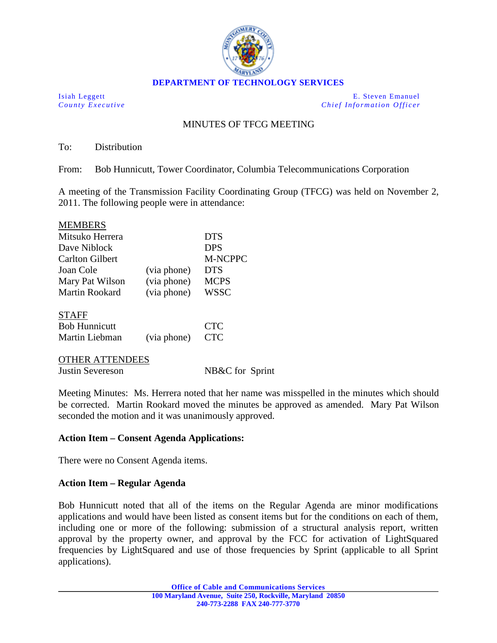

Isiah Leggett E. Steven Emanuel *County Executive Chief Information Officer*

## MINUTES OF TFCG MEETING

To: Distribution

From: Bob Hunnicutt, Tower Coordinator, Columbia Telecommunications Corporation

A meeting of the Transmission Facility Coordinating Group (TFCG) was held on November 2, 2011. The following people were in attendance:

| <b>MEMBERS</b>         |             |                |
|------------------------|-------------|----------------|
| Mitsuko Herrera        |             | <b>DTS</b>     |
| Dave Niblock           |             | <b>DPS</b>     |
| <b>Carlton Gilbert</b> |             | <b>M-NCPPC</b> |
| Joan Cole              | (via phone) | <b>DTS</b>     |
| Mary Pat Wilson        | (via phone) | <b>MCPS</b>    |
| Martin Rookard         | (via phone) | <b>WSSC</b>    |
| <b>STAFF</b>           |             |                |
| <b>Bob Hunnicutt</b>   |             | <b>CTC</b>     |
| Martin Liebman         | (via phone) | <b>CTC</b>     |

| <b>OTHER ATTENDEES</b> |                 |
|------------------------|-----------------|
| Justin Severeson       | NB&C for Sprint |

Meeting Minutes: Ms. Herrera noted that her name was misspelled in the minutes which should be corrected. Martin Rookard moved the minutes be approved as amended. Mary Pat Wilson seconded the motion and it was unanimously approved.

## **Action Item – Consent Agenda Applications:**

There were no Consent Agenda items.

## **Action Item – Regular Agenda**

Bob Hunnicutt noted that all of the items on the Regular Agenda are minor modifications applications and would have been listed as consent items but for the conditions on each of them, including one or more of the following: submission of a structural analysis report, written approval by the property owner, and approval by the FCC for activation of LightSquared frequencies by LightSquared and use of those frequencies by Sprint (applicable to all Sprint applications).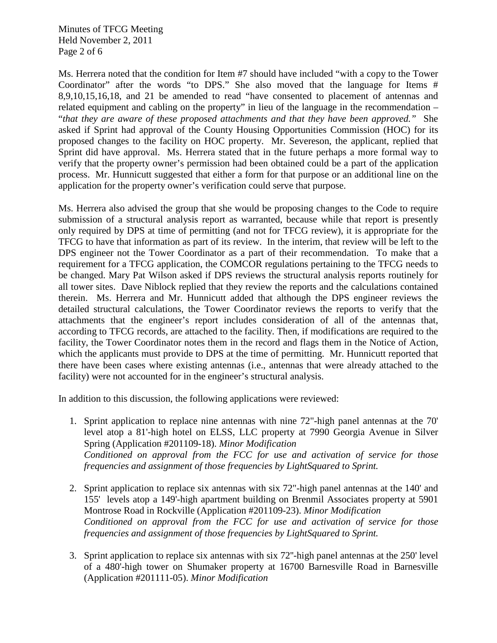Minutes of TFCG Meeting Held November 2, 2011 Page 2 of 6

Ms. Herrera noted that the condition for Item #7 should have included "with a copy to the Tower Coordinator" after the words "to DPS." She also moved that the language for Items # 8,9,10,15,16,18, and 21 be amended to read "have consented to placement of antennas and related equipment and cabling on the property" in lieu of the language in the recommendation – "*that they are aware of these proposed attachments and that they have been approved."* She asked if Sprint had approval of the County Housing Opportunities Commission (HOC) for its proposed changes to the facility on HOC property. Mr. Severeson, the applicant, replied that Sprint did have approval. Ms. Herrera stated that in the future perhaps a more formal way to verify that the property owner's permission had been obtained could be a part of the application process. Mr. Hunnicutt suggested that either a form for that purpose or an additional line on the application for the property owner's verification could serve that purpose.

Ms. Herrera also advised the group that she would be proposing changes to the Code to require submission of a structural analysis report as warranted, because while that report is presently only required by DPS at time of permitting (and not for TFCG review), it is appropriate for the TFCG to have that information as part of its review. In the interim, that review will be left to the DPS engineer not the Tower Coordinator as a part of their recommendation. To make that a requirement for a TFCG application, the COMCOR regulations pertaining to the TFCG needs to be changed. Mary Pat Wilson asked if DPS reviews the structural analysis reports routinely for all tower sites. Dave Niblock replied that they review the reports and the calculations contained therein. Ms. Herrera and Mr. Hunnicutt added that although the DPS engineer reviews the detailed structural calculations, the Tower Coordinator reviews the reports to verify that the attachments that the engineer's report includes consideration of all of the antennas that, according to TFCG records, are attached to the facility. Then, if modifications are required to the facility, the Tower Coordinator notes them in the record and flags them in the Notice of Action, which the applicants must provide to DPS at the time of permitting. Mr. Hunnicutt reported that there have been cases where existing antennas (i.e., antennas that were already attached to the facility) were not accounted for in the engineer's structural analysis.

In addition to this discussion, the following applications were reviewed:

- 1. Sprint application to replace nine antennas with nine 72"-high panel antennas at the 70' level atop a 81'-high hotel on ELSS, LLC property at 7990 Georgia Avenue in Silver Spring (Application #201109-18). *Minor Modification Conditioned on approval from the FCC for use and activation of service for those frequencies and assignment of those frequencies by LightSquared to Sprint.*
- 2. Sprint application to replace six antennas with six 72"-high panel antennas at the 140' and 155' levels atop a 149'-high apartment building on Brenmil Associates property at 5901 Montrose Road in Rockville (Application #201109-23). *Minor Modification Conditioned on approval from the FCC for use and activation of service for those frequencies and assignment of those frequencies by LightSquared to Sprint.*
- 3. Sprint application to replace six antennas with six 72''-high panel antennas at the 250' level of a 480'-high tower on Shumaker property at 16700 Barnesville Road in Barnesville (Application #201111-05). *Minor Modification*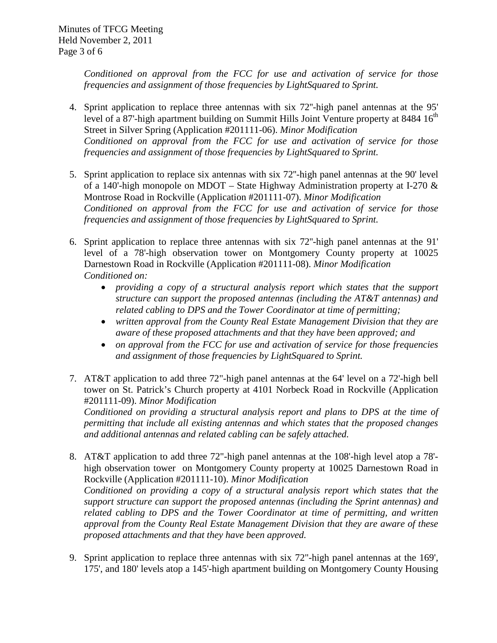*Conditioned on approval from the FCC for use and activation of service for those frequencies and assignment of those frequencies by LightSquared to Sprint.* 

- 4. Sprint application to replace three antennas with six 72''-high panel antennas at the 95' level of a 87'-high apartment building on Summit Hills Joint Venture property at  $8484 \times 16^{th}$ *Conditioned on approval from the FCC for use and activation of service for those frequencies and assignment of those frequencies by LightSquared to Sprint.* Street in Silver Spring (Application #201111-06). *Minor Modification*
- 5. Sprint application to replace six antennas with six 72''-high panel antennas at the 90' level of a 140'-high monopole on MDOT – State Highway Administration property at I-270 & Montrose Road in Rockville (Application #201111-07). *Minor Modification Conditioned on approval from the FCC for use and activation of service for those frequencies and assignment of those frequencies by LightSquared to Sprint.*
- 6. Sprint application to replace three antennas with six 72''-high panel antennas at the 91' level of a 78'-high observation tower on Montgomery County property at 10025 Darnestown Road in Rockville (Application #201111-08). *Minor Modification Conditioned on:* 
	- *providing a copy of a structural analysis report which states that the support structure can support the proposed antennas (including the AT&T antennas) and related cabling to DPS and the Tower Coordinator at time of permitting;*
	- *written approval from the County Real Estate Management Division that they are aware of these proposed attachments and that they have been approved; and*
	- *on approval from the FCC for use and activation of service for those frequencies and assignment of those frequencies by LightSquared to Sprint.*
- 7. AT&T application to add three 72"-high panel antennas at the 64' level on a 72'-high bell tower on St. Patrick's Church property at 4101 Norbeck Road in Rockville (Application #201111-09). *Minor Modification*

*Conditioned on providing a structural analysis report and plans to DPS at the time of permitting that include all existing antennas and which states that the proposed changes and additional antennas and related cabling can be safely attached.*

- 8. AT&T application to add three 72"-high panel antennas at the 108'-high level atop a 78' high observation tower on Montgomery County property at 10025 Darnestown Road in Rockville (Application #201111-10). *Minor Modification Conditioned on providing a copy of a structural analysis report which states that the support structure can support the proposed antennas (including the Sprint antennas) and related cabling to DPS and the Tower Coordinator at time of permitting, and written approval from the County Real Estate Management Division that they are aware of these proposed attachments and that they have been approved.*
- 9. Sprint application to replace three antennas with six 72"-high panel antennas at the 169', 175', and 180' levels atop a 145'-high apartment building on Montgomery County Housing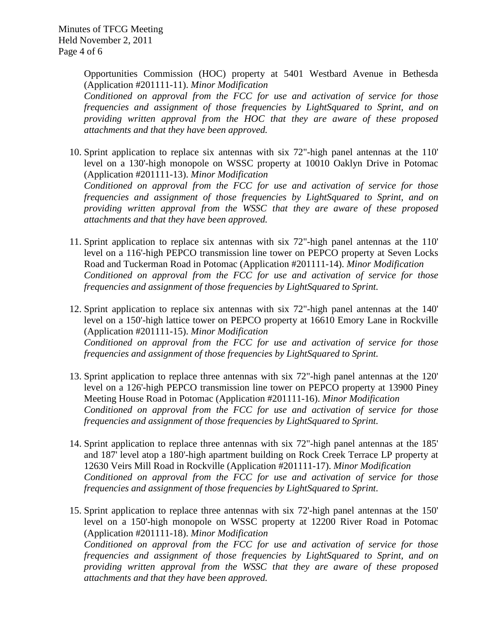Opportunities Commission (HOC) property at 5401 Westbard Avenue in Bethesda (Application #201111-11). *Minor Modification*

*Conditioned on approval from the FCC for use and activation of service for those frequencies and assignment of those frequencies by LightSquared to Sprint, and on providing written approval from the HOC that they are aware of these proposed attachments and that they have been approved.*

10. Sprint application to replace six antennas with six 72"-high panel antennas at the 110' level on a 130'-high monopole on WSSC property at 10010 Oaklyn Drive in Potomac (Application #201111-13). *Minor Modification Conditioned on approval from the FCC for use and activation of service for those* 

*frequencies and assignment of those frequencies by LightSquared to Sprint, and on providing written approval from the WSSC that they are aware of these proposed attachments and that they have been approved.*

- 11. Sprint application to replace six antennas with six 72"-high panel antennas at the 110' level on a 116'-high PEPCO transmission line tower on PEPCO property at Seven Locks Road and Tuckerman Road in Potomac (Application #201111-14). *Minor Modification Conditioned on approval from the FCC for use and activation of service for those frequencies and assignment of those frequencies by LightSquared to Sprint.*
- 12. Sprint application to replace six antennas with six 72"-high panel antennas at the 140' level on a 150'-high lattice tower on PEPCO property at 16610 Emory Lane in Rockville (Application #201111-15). *Minor Modification Conditioned on approval from the FCC for use and activation of service for those frequencies and assignment of those frequencies by LightSquared to Sprint.*
- 13. Sprint application to replace three antennas with six 72"-high panel antennas at the 120' level on a 126'-high PEPCO transmission line tower on PEPCO property at 13900 Piney Meeting House Road in Potomac (Application #201111-16). *Minor Modification Conditioned on approval from the FCC for use and activation of service for those frequencies and assignment of those frequencies by LightSquared to Sprint.*
- 14. Sprint application to replace three antennas with six 72"-high panel antennas at the 185' and 187' level atop a 180'-high apartment building on Rock Creek Terrace LP property at 12630 Veirs Mill Road in Rockville (Application #201111-17). *Minor Modification Conditioned on approval from the FCC for use and activation of service for those frequencies and assignment of those frequencies by LightSquared to Sprint.*
- 15. Sprint application to replace three antennas with six 72'-high panel antennas at the 150' level on a 150'-high monopole on WSSC property at 12200 River Road in Potomac (Application #201111-18). *Minor Modification Conditioned on approval from the FCC for use and activation of service for those frequencies and assignment of those frequencies by LightSquared to Sprint, and on providing written approval from the WSSC that they are aware of these proposed attachments and that they have been approved.*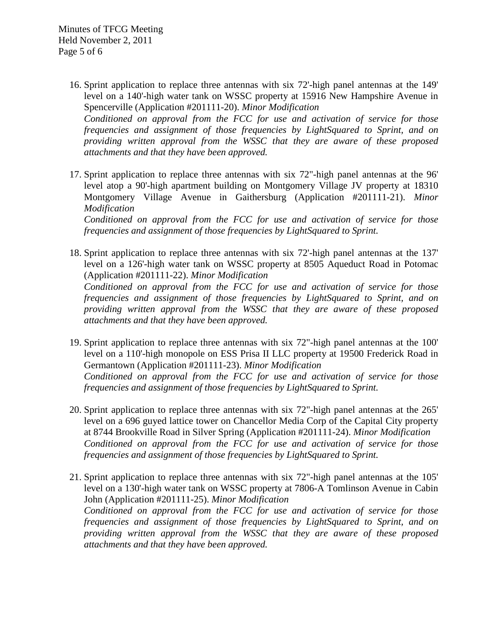- 16. Sprint application to replace three antennas with six 72'-high panel antennas at the 149' level on a 140'-high water tank on WSSC property at 15916 New Hampshire Avenue in Spencerville (Application #201111-20). *Minor Modification Conditioned on approval from the FCC for use and activation of service for those frequencies and assignment of those frequencies by LightSquared to Sprint, and on providing written approval from the WSSC that they are aware of these proposed attachments and that they have been approved.*
- 17. Sprint application to replace three antennas with six 72"-high panel antennas at the 96' level atop a 90'-high apartment building on Montgomery Village JV property at 18310 Montgomery Village Avenue in Gaithersburg (Application #201111-21). *Minor Modification*

*Conditioned on approval from the FCC for use and activation of service for those frequencies and assignment of those frequencies by LightSquared to Sprint.*

18. Sprint application to replace three antennas with six 72'-high panel antennas at the 137' level on a 126'-high water tank on WSSC property at 8505 Aqueduct Road in Potomac (Application #201111-22). *Minor Modification Conditioned on approval from the FCC for use and activation of service for those* 

*frequencies and assignment of those frequencies by LightSquared to Sprint, and on providing written approval from the WSSC that they are aware of these proposed attachments and that they have been approved.*

- 19. Sprint application to replace three antennas with six 72"-high panel antennas at the 100' level on a 110'-high monopole on ESS Prisa II LLC property at 19500 Frederick Road in Germantown (Application #201111-23). *Minor Modification Conditioned on approval from the FCC for use and activation of service for those frequencies and assignment of those frequencies by LightSquared to Sprint.*
- 20. Sprint application to replace three antennas with six 72"-high panel antennas at the 265' level on a 696 guyed lattice tower on Chancellor Media Corp of the Capital City property at 8744 Brookville Road in Silver Spring (Application #201111-24). *Minor Modification Conditioned on approval from the FCC for use and activation of service for those frequencies and assignment of those frequencies by LightSquared to Sprint.*
- 21. Sprint application to replace three antennas with six 72"-high panel antennas at the 105' level on a 130'-high water tank on WSSC property at 7806-A Tomlinson Avenue in Cabin John (Application #201111-25). *Minor Modification*

*Conditioned on approval from the FCC for use and activation of service for those frequencies and assignment of those frequencies by LightSquared to Sprint, and on providing written approval from the WSSC that they are aware of these proposed attachments and that they have been approved.*